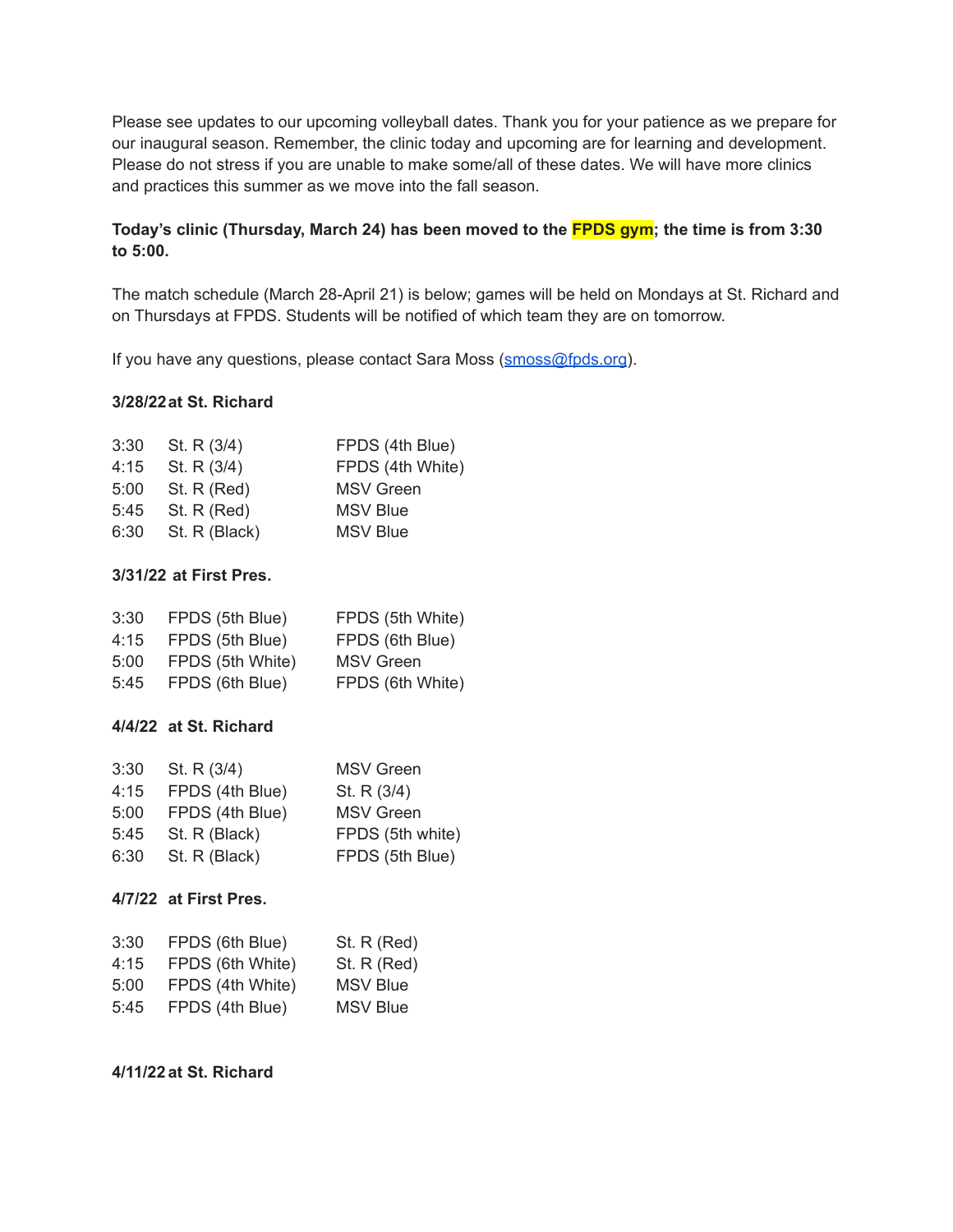Please see updates to our upcoming volleyball dates. Thank you for your patience as we prepare for our inaugural season. Remember, the clinic today and upcoming are for learning and development. Please do not stress if you are unable to make some/all of these dates. We will have more clinics and practices this summer as we move into the fall season.

# **Today's clinic (Thursday, March 24) has been moved to the FPDS gym; the time is from 3:30 to 5:00.**

The match schedule (March 28-April 21) is below; games will be held on Mondays at St. Richard and on Thursdays at FPDS. Students will be notified of which team they are on tomorrow.

If you have any questions, please contact Sara Moss [\(smoss@fpds.org](mailto:smoss@fpds.org)).

## **3/28/22at St. Richard**

| 3:30 | St. R $(3/4)$ | FPDS (4th Blue)  |
|------|---------------|------------------|
| 4:15 | St. R $(3/4)$ | FPDS (4th White) |
| 5:00 | St. R (Red)   | <b>MSV</b> Green |
| 5:45 | St. $R$ (Red) | <b>MSV Blue</b>  |
| 6:30 | St. R (Black) | <b>MSV Blue</b>  |

## **3/31/22 at First Pres.**

| 3:30 | FPDS (5th Blue)  | FPDS (5th White) |
|------|------------------|------------------|
| 4:15 | FPDS (5th Blue)  | FPDS (6th Blue)  |
| 5:00 | FPDS (5th White) | <b>MSV</b> Green |
| 5:45 | FPDS (6th Blue)  | FPDS (6th White) |

## **4/4/22 at St. Richard**

| 3:30 | St. R $(3/4)$   | <b>MSV</b> Green |
|------|-----------------|------------------|
| 4:15 | FPDS (4th Blue) | St. R (3/4)      |
| 5:00 | FPDS (4th Blue) | <b>MSV</b> Green |
| 5:45 | St. R (Black)   | FPDS (5th white) |
| 6:30 | St. R (Black)   | FPDS (5th Blue)  |

#### **4/7/22 at First Pres.**

| 3:30 | FPDS (6th Blue)  | St. R (Red)     |
|------|------------------|-----------------|
| 4:15 | FPDS (6th White) | St. R (Red)     |
| 5:00 | FPDS (4th White) | <b>MSV Blue</b> |
| 5:45 | FPDS (4th Blue)  | <b>MSV Blue</b> |

#### **4/11/22 at St. Richard**